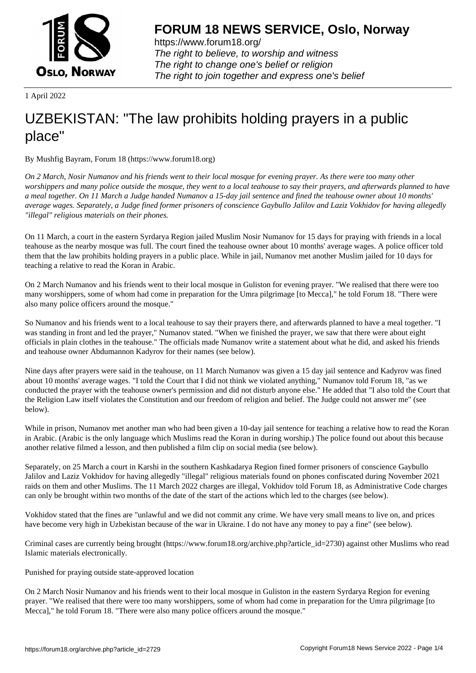

https://www.forum18.org/ The right to believe, to worship and witness The right to change one's belief or religion [The right to join together a](https://www.forum18.org/)nd express one's belief

1 April 2022

# [UZBEKISTAN:](https://www.forum18.org) "The law prohibits holding prayers in a public place"

By Mushfig Bayram, Forum 18 (https://www.forum18.org)

*On 2 March, Nosir Numanov and his friends went to their local mosque for evening prayer. As there were too many other worshippers and many police outside the mosque, they went to a local teahouse to say their prayers, and afterwards planned to have a meal together. On 11 March a Judge handed Numanov a 15-day jail sentence and fined the teahouse owner about 10 months' average wages. Separately, a Judge fined former prisoners of conscience Gaybullo Jalilov and Laziz Vokhidov for having allegedly "illegal" religious materials on their phones.*

On 11 March, a court in the eastern Syrdarya Region jailed Muslim Nosir Numanov for 15 days for praying with friends in a local teahouse as the nearby mosque was full. The court fined the teahouse owner about 10 months' average wages. A police officer told them that the law prohibits holding prayers in a public place. While in jail, Numanov met another Muslim jailed for 10 days for teaching a relative to read the Koran in Arabic.

On 2 March Numanov and his friends went to their local mosque in Guliston for evening prayer. "We realised that there were too many worshippers, some of whom had come in preparation for the Umra pilgrimage [to Mecca]," he told Forum 18. "There were also many police officers around the mosque."

So Numanov and his friends went to a local teahouse to say their prayers there, and afterwards planned to have a meal together. "I was standing in front and led the prayer," Numanov stated. "When we finished the prayer, we saw that there were about eight officials in plain clothes in the teahouse." The officials made Numanov write a statement about what he did, and asked his friends and teahouse owner Abdumannon Kadyrov for their names (see below).

Nine days after prayers were said in the teahouse, on 11 March Numanov was given a 15 day jail sentence and Kadyrov was fined about 10 months' average wages. "I told the Court that I did not think we violated anything," Numanov told Forum 18, "as we conducted the prayer with the teahouse owner's permission and did not disturb anyone else." He added that "I also told the Court that the Religion Law itself violates the Constitution and our freedom of religion and belief. The Judge could not answer me" (see below).

While in prison, Numanov met another man who had been given a 10-day jail sentence for teaching a relative how to read the Koran in Arabic. (Arabic is the only language which Muslims read the Koran in during worship.) The police found out about this because another relative filmed a lesson, and then published a film clip on social media (see below).

Separately, on 25 March a court in Karshi in the southern Kashkadarya Region fined former prisoners of conscience Gaybullo Jalilov and Laziz Vokhidov for having allegedly "illegal" religious materials found on phones confiscated during November 2021 raids on them and other Muslims. The 11 March 2022 charges are illegal, Vokhidov told Forum 18, as Administrative Code charges can only be brought within two months of the date of the start of the actions which led to the charges (see below).

Vokhidov stated that the fines are "unlawful and we did not commit any crime. We have very small means to live on, and prices have become very high in Uzbekistan because of the war in Ukraine. I do not have any money to pay a fine" (see below).

Criminal cases are currently being brought (https://www.forum18.org/archive.php?article\_id=2730) against other Muslims who read Islamic materials electronically.

Punished for praying outside state-approved location

On 2 March Nosir Numanov and his friends went to their local mosque in Guliston in the eastern Syrdarya Region for evening prayer. "We realised that there were too many worshippers, some of whom had come in preparation for the Umra pilgrimage [to Mecca]," he told Forum 18. "There were also many police officers around the mosque."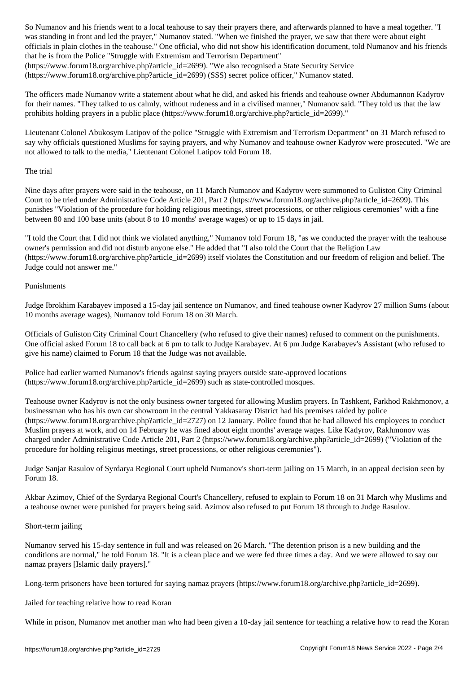was standing in front and led the prayer, we find the prayer, we find the prayer, we saw that the problem we find the problem we find the problem we find the problem we find the problem were about eight about eight eight e officials in plain clothes in the teahouse." One official, who did not show his identification document, told Numanov and his friends that he is from the Police "Struggle with Extremism and Terrorism Department" (https://www.forum18.org/archive.php?article\_id=2699). "We also recognised a State Security Service (https://www.forum18.org/archive.php?article\_id=2699) (SSS) secret police officer," Numanov stated.

The officers made Numanov write a statement about what he did, and asked his friends and teahouse owner Abdumannon Kadyrov for their names. "They talked to us calmly, without rudeness and in a civilised manner," Numanov said. "They told us that the law prohibits holding prayers in a public place (https://www.forum18.org/archive.php?article\_id=2699)."

Lieutenant Colonel Abukosym Latipov of the police "Struggle with Extremism and Terrorism Department" on 31 March refused to say why officials questioned Muslims for saying prayers, and why Numanov and teahouse owner Kadyrov were prosecuted. "We are not allowed to talk to the media," Lieutenant Colonel Latipov told Forum 18.

## The trial

Nine days after prayers were said in the teahouse, on 11 March Numanov and Kadyrov were summoned to Guliston City Criminal Court to be tried under Administrative Code Article 201, Part 2 (https://www.forum18.org/archive.php?article\_id=2699). This punishes "Violation of the procedure for holding religious meetings, street processions, or other religious ceremonies" with a fine between 80 and 100 base units (about 8 to 10 months' average wages) or up to 15 days in jail.

"I told the Court that I did not think we violated anything," Numanov told Forum 18, "as we conducted the prayer with the teahouse owner's permission and did not disturb anyone else." He added that "I also told the Court that the Religion Law (https://www.forum18.org/archive.php?article\_id=2699) itself violates the Constitution and our freedom of religion and belief. The Judge could not answer me."

# Punishments

Judge Ibrokhim Karabayev imposed a 15-day jail sentence on Numanov, and fined teahouse owner Kadyrov 27 million Sums (about 10 months average wages), Numanov told Forum 18 on 30 March.

Officials of Guliston City Criminal Court Chancellery (who refused to give their names) refused to comment on the punishments. One official asked Forum 18 to call back at 6 pm to talk to Judge Karabayev. At 6 pm Judge Karabayev's Assistant (who refused to give his name) claimed to Forum 18 that the Judge was not available.

Police had earlier warned Numanov's friends against saying prayers outside state-approved locations (https://www.forum18.org/archive.php?article\_id=2699) such as state-controlled mosques.

Teahouse owner Kadyrov is not the only business owner targeted for allowing Muslim prayers. In Tashkent, Farkhod Rakhmonov, a businessman who has his own car showroom in the central Yakkasaray District had his premises raided by police (https://www.forum18.org/archive.php?article\_id=2727) on 12 January. Police found that he had allowed his employees to conduct Muslim prayers at work, and on 14 February he was fined about eight months' average wages. Like Kadyrov, Rakhmonov was charged under Administrative Code Article 201, Part 2 (https://www.forum18.org/archive.php?article\_id=2699) ("Violation of the procedure for holding religious meetings, street processions, or other religious ceremonies").

Judge Sanjar Rasulov of Syrdarya Regional Court upheld Numanov's short-term jailing on 15 March, in an appeal decision seen by Forum 18.

Akbar Azimov, Chief of the Syrdarya Regional Court's Chancellery, refused to explain to Forum 18 on 31 March why Muslims and a teahouse owner were punished for prayers being said. Azimov also refused to put Forum 18 through to Judge Rasulov.

## Short-term jailing

Numanov served his 15-day sentence in full and was released on 26 March. "The detention prison is a new building and the conditions are normal," he told Forum 18. "It is a clean place and we were fed three times a day. And we were allowed to say our namaz prayers [Islamic daily prayers]."

Long-term prisoners have been tortured for saying namaz prayers (https://www.forum18.org/archive.php?article\_id=2699).

Jailed for teaching relative how to read Koran

While in prison, Numanov met another man who had been given a 10-day jail sentence for teaching a relative how to read the Koran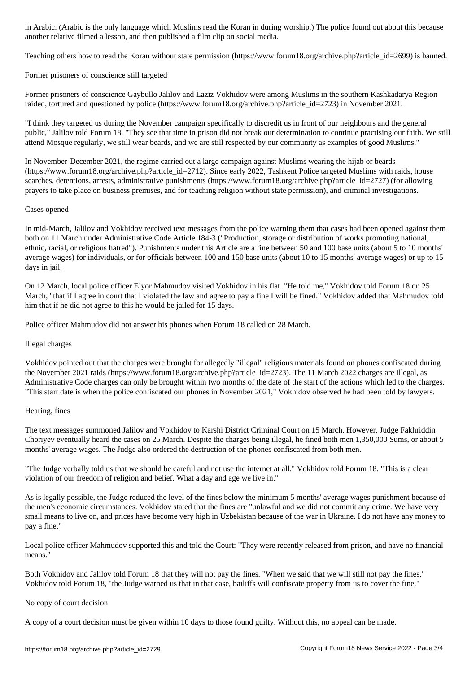Teaching others how to read the Koran without state permission (https://www.forum18.org/archive.php?article\_id=2699) is banned.

Former prisoners of conscience still targeted

another relative filmed a lesson, and then published a film clip on social media.

Former prisoners of conscience Gaybullo Jalilov and Laziz Vokhidov were among Muslims in the southern Kashkadarya Region raided, tortured and questioned by police (https://www.forum18.org/archive.php?article\_id=2723) in November 2021.

"I think they targeted us during the November campaign specifically to discredit us in front of our neighbours and the general public," Jalilov told Forum 18. "They see that time in prison did not break our determination to continue practising our faith. We still attend Mosque regularly, we still wear beards, and we are still respected by our community as examples of good Muslims."

In November-December 2021, the regime carried out a large campaign against Muslims wearing the hijab or beards (https://www.forum18.org/archive.php?article\_id=2712). Since early 2022, Tashkent Police targeted Muslims with raids, house searches, detentions, arrests, administrative punishments (https://www.forum18.org/archive.php?article\_id=2727) (for allowing prayers to take place on business premises, and for teaching religion without state permission), and criminal investigations.

## Cases opened

In mid-March, Jalilov and Vokhidov received text messages from the police warning them that cases had been opened against them both on 11 March under Administrative Code Article 184-3 ("Production, storage or distribution of works promoting national, ethnic, racial, or religious hatred"). Punishments under this Article are a fine between 50 and 100 base units (about 5 to 10 months' average wages) for individuals, or for officials between 100 and 150 base units (about 10 to 15 months' average wages) or up to 15 days in jail.

On 12 March, local police officer Elyor Mahmudov visited Vokhidov in his flat. "He told me," Vokhidov told Forum 18 on 25 March, "that if I agree in court that I violated the law and agree to pay a fine I will be fined." Vokhidov added that Mahmudov told him that if he did not agree to this he would be jailed for 15 days.

Police officer Mahmudov did not answer his phones when Forum 18 called on 28 March.

## Illegal charges

Vokhidov pointed out that the charges were brought for allegedly "illegal" religious materials found on phones confiscated during the November 2021 raids (https://www.forum18.org/archive.php?article\_id=2723). The 11 March 2022 charges are illegal, as Administrative Code charges can only be brought within two months of the date of the start of the actions which led to the charges. "This start date is when the police confiscated our phones in November 2021," Vokhidov observed he had been told by lawyers.

### Hearing, fines

The text messages summoned Jalilov and Vokhidov to Karshi District Criminal Court on 15 March. However, Judge Fakhriddin Choriyev eventually heard the cases on 25 March. Despite the charges being illegal, he fined both men 1,350,000 Sums, or about 5 months' average wages. The Judge also ordered the destruction of the phones confiscated from both men.

"The Judge verbally told us that we should be careful and not use the internet at all," Vokhidov told Forum 18. "This is a clear violation of our freedom of religion and belief. What a day and age we live in."

As is legally possible, the Judge reduced the level of the fines below the minimum 5 months' average wages punishment because of the men's economic circumstances. Vokhidov stated that the fines are "unlawful and we did not commit any crime. We have very small means to live on, and prices have become very high in Uzbekistan because of the war in Ukraine. I do not have any money to pay a fine."

Local police officer Mahmudov supported this and told the Court: "They were recently released from prison, and have no financial means."

Both Vokhidov and Jalilov told Forum 18 that they will not pay the fines. "When we said that we will still not pay the fines," Vokhidov told Forum 18, "the Judge warned us that in that case, bailiffs will confiscate property from us to cover the fine."

### No copy of court decision

A copy of a court decision must be given within 10 days to those found guilty. Without this, no appeal can be made.